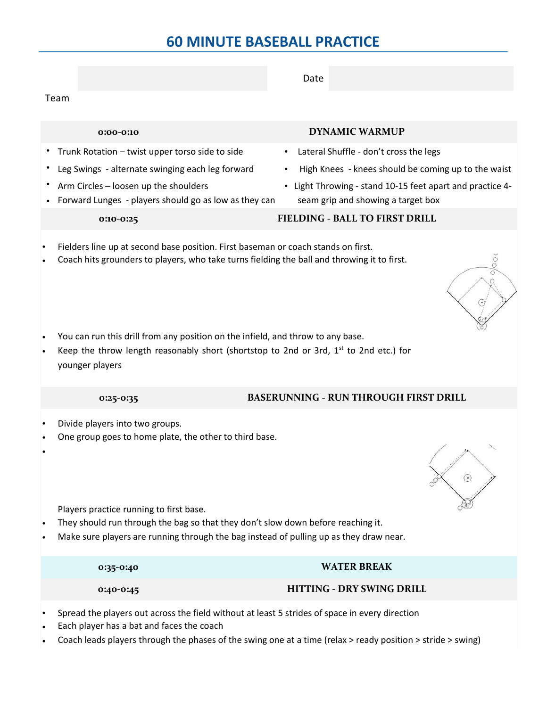|                                                                                                                                                                                                                       | Date                                                                                            |
|-----------------------------------------------------------------------------------------------------------------------------------------------------------------------------------------------------------------------|-------------------------------------------------------------------------------------------------|
| Team                                                                                                                                                                                                                  |                                                                                                 |
|                                                                                                                                                                                                                       |                                                                                                 |
| 0:00-0:10                                                                                                                                                                                                             | <b>DYNAMIC WARMUP</b>                                                                           |
| • Trunk Rotation - twist upper torso side to side                                                                                                                                                                     | Lateral Shuffle - don't cross the legs<br>$\bullet$                                             |
| Leg Swings - alternate swinging each leg forward                                                                                                                                                                      | High Knees - knees should be coming up to the waist                                             |
| Arm Circles - loosen up the shoulders<br>Forward Lunges - players should go as low as they can                                                                                                                        | • Light Throwing - stand 10-15 feet apart and practice 4-<br>seam grip and showing a target box |
| 0:10-0:25                                                                                                                                                                                                             | <b>FIELDING - BALL TO FIRST DRILL</b>                                                           |
| Fielders line up at second base position. First baseman or coach stands on first.<br>Coach hits grounders to players, who take turns fielding the ball and throwing it to first.                                      |                                                                                                 |
| You can run this drill from any position on the infield, and throw to any base.<br>Keep the throw length reasonably short (shortstop to 2nd or 3rd, $1st$ to 2nd etc.) for<br>younger players                         |                                                                                                 |
| 0:25-0:35                                                                                                                                                                                                             | <b>BASERUNNING - RUN THROUGH FIRST DRILL</b>                                                    |
| Divide players into two groups.<br>One group goes to home plate, the other to third base.                                                                                                                             |                                                                                                 |
| Players practice running to first base.<br>They should run through the bag so that they don't slow down before reaching it.<br>Make sure players are running through the bag instead of pulling up as they draw near. |                                                                                                 |
| 0:35-0:40                                                                                                                                                                                                             | <b>WATER BREAK</b>                                                                              |
| 0:40-0:45                                                                                                                                                                                                             | <b>HITTING - DRY SWING DRILL</b>                                                                |
| Spread the players out across the field without at least 5 strides of space in every direction<br>Each player has a bat and faces the seash                                                                           |                                                                                                 |

- Each player has a bat and faces the coach
- Coach leads players through the phases of the swing one at a time (relax > ready position > stride > swing)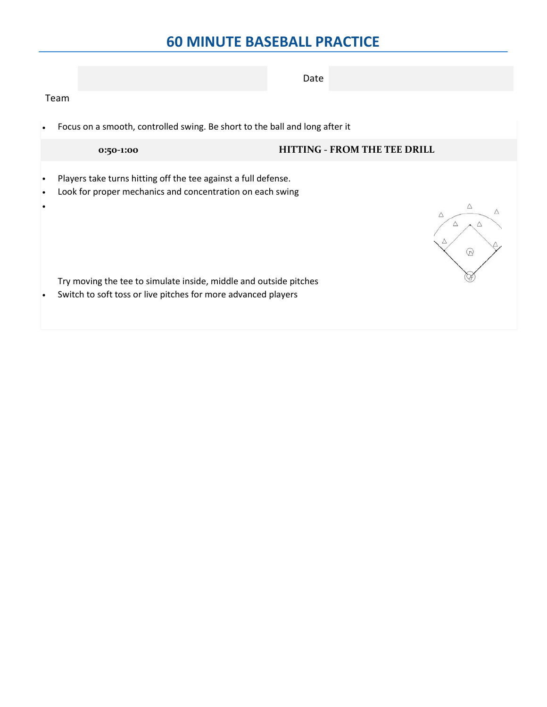|                                     |                                                                                                                                    | Date                         |
|-------------------------------------|------------------------------------------------------------------------------------------------------------------------------------|------------------------------|
|                                     | Team                                                                                                                               |                              |
| $\bullet$                           | Focus on a smooth, controlled swing. Be short to the ball and long after it                                                        |                              |
|                                     | 0:50-1:00                                                                                                                          | HITTING - FROM THE TEE DRILL |
| $\bullet$<br>$\bullet$<br>$\bullet$ | Players take turns hitting off the tee against a full defense.<br>Look for proper mechanics and concentration on each swing        | W                            |
| $\bullet$                           | Try moving the tee to simulate inside, middle and outside pitches<br>Switch to soft toss or live pitches for more advanced players |                              |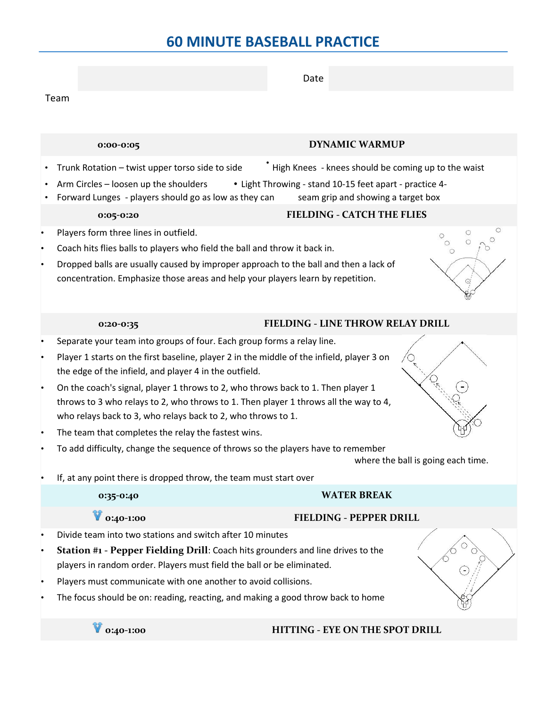|           |                                                                                                                                                           | Date                                                    |                                    |
|-----------|-----------------------------------------------------------------------------------------------------------------------------------------------------------|---------------------------------------------------------|------------------------------------|
|           | Team                                                                                                                                                      |                                                         |                                    |
|           |                                                                                                                                                           |                                                         |                                    |
|           |                                                                                                                                                           |                                                         |                                    |
|           | 0:00-0:05                                                                                                                                                 | <b>DYNAMIC WARMUP</b>                                   |                                    |
|           | Trunk Rotation - twist upper torso side to side                                                                                                           | High Knees - knees should be coming up to the waist     |                                    |
|           | Arm Circles - loosen up the shoulders                                                                                                                     | • Light Throwing - stand 10-15 feet apart - practice 4- |                                    |
|           | Forward Lunges - players should go as low as they can                                                                                                     | seam grip and showing a target box                      |                                    |
|           | 0:05-0:20                                                                                                                                                 | <b>FIELDING - CATCH THE FLIES</b>                       |                                    |
| $\bullet$ | Players form three lines in outfield.                                                                                                                     |                                                         | $\circ$<br>$\circ$                 |
| $\bullet$ | Coach hits flies balls to players who field the ball and throw it back in.                                                                                |                                                         |                                    |
| $\bullet$ | Dropped balls are usually caused by improper approach to the ball and then a lack of                                                                      |                                                         |                                    |
|           | concentration. Emphasize those areas and help your players learn by repetition.                                                                           |                                                         |                                    |
|           |                                                                                                                                                           |                                                         |                                    |
|           | 0:20-0:35                                                                                                                                                 | <b>FIELDING - LINE THROW RELAY DRILL</b>                |                                    |
| $\bullet$ | Separate your team into groups of four. Each group forms a relay line.                                                                                    |                                                         |                                    |
| ٠         | Player 1 starts on the first baseline, player 2 in the middle of the infield, player 3 on                                                                 |                                                         |                                    |
|           | the edge of the infield, and player 4 in the outfield.                                                                                                    |                                                         |                                    |
| $\bullet$ | On the coach's signal, player 1 throws to 2, who throws back to 1. Then player 1                                                                          |                                                         |                                    |
|           | throws to 3 who relays to 2, who throws to 1. Then player 1 throws all the way to 4,                                                                      |                                                         |                                    |
|           | who relays back to 3, who relays back to 2, who throws to 1.                                                                                              |                                                         |                                    |
| ٠         | The team that completes the relay the fastest wins.                                                                                                       |                                                         |                                    |
| ٠         | To add difficulty, change the sequence of throws so the players have to remember                                                                          |                                                         | where the ball is going each time. |
|           | If, at any point there is dropped throw, the team must start over                                                                                         |                                                         |                                    |
|           | 0:35-0:40                                                                                                                                                 | <b>WATER BREAK</b>                                      |                                    |
|           |                                                                                                                                                           |                                                         |                                    |
|           | 0:40-1:00                                                                                                                                                 | FIELDING - PEPPER DRILL                                 |                                    |
| $\bullet$ | Divide team into two stations and switch after 10 minutes                                                                                                 |                                                         |                                    |
| ٠         | Station #1 - Pepper Fielding Drill: Coach hits grounders and line drives to the<br>players in random order. Players must field the ball or be eliminated. |                                                         |                                    |
| ٠         | Players must communicate with one another to avoid collisions.                                                                                            |                                                         |                                    |
|           | The focus should be on: reading, reacting, and making a good throw back to home                                                                           |                                                         |                                    |
|           | 0:40-1:00                                                                                                                                                 | HITTING - EYE ON THE SPOT DRILL                         |                                    |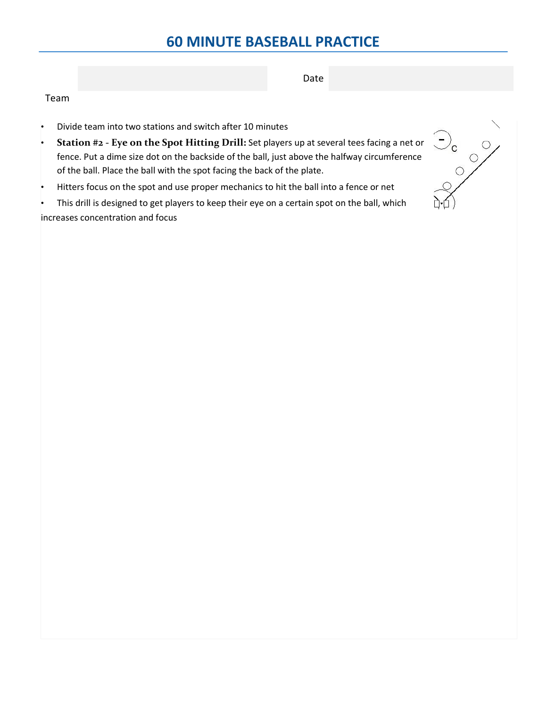Date

## Team

- Divide team into two stations and switch after 10 minutes
- **Station #2 - Eye on the Spot Hitting Drill:** Set players up at several tees facing a net or fence. Put a dime size dot on the backside of the ball, just above the halfway circumference of the ball. Place the ball with the spot facing the back of the plate.
- Hitters focus on the spot and use proper mechanics to hit the ball into a fence or net

This drill is designed to get players to keep their eye on a certain spot on the ball, which increases concentration and focus

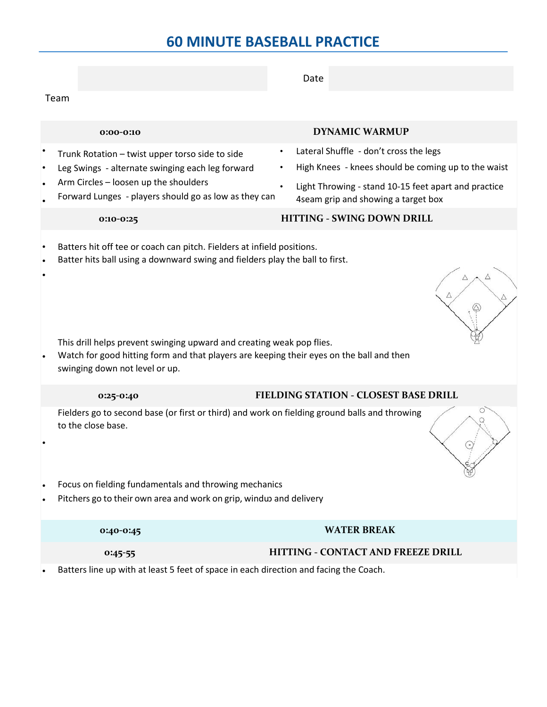|      |                                                                                                                                                                                                                                                                                                                                                               | Date                                                                                                                                                                                         |
|------|---------------------------------------------------------------------------------------------------------------------------------------------------------------------------------------------------------------------------------------------------------------------------------------------------------------------------------------------------------------|----------------------------------------------------------------------------------------------------------------------------------------------------------------------------------------------|
| Team |                                                                                                                                                                                                                                                                                                                                                               |                                                                                                                                                                                              |
|      | $0:00-0:10$                                                                                                                                                                                                                                                                                                                                                   | <b>DYNAMIC WARMUP</b>                                                                                                                                                                        |
|      | Trunk Rotation - twist upper torso side to side<br>Leg Swings - alternate swinging each leg forward<br>Arm Circles - loosen up the shoulders<br>Forward Lunges - players should go as low as they can                                                                                                                                                         | Lateral Shuffle - don't cross the legs<br>High Knees - knees should be coming up to the waist<br>Light Throwing - stand 10-15 feet apart and practice<br>4seam grip and showing a target box |
|      | 0:10-0:25                                                                                                                                                                                                                                                                                                                                                     | HITTING - SWING DOWN DRILL                                                                                                                                                                   |
|      | Batters hit off tee or coach can pitch. Fielders at infield positions.<br>Batter hits ball using a downward swing and fielders play the ball to first.<br>This drill helps prevent swinging upward and creating weak pop flies.<br>Watch for good hitting form and that players are keeping their eyes on the ball and then<br>swinging down not level or up. |                                                                                                                                                                                              |
|      | 0:25-0:40                                                                                                                                                                                                                                                                                                                                                     | FIELDING STATION - CLOSEST BASE DRILL                                                                                                                                                        |
|      | Fielders go to second base (or first or third) and work on fielding ground balls and throwing<br>to the close base.                                                                                                                                                                                                                                           |                                                                                                                                                                                              |
|      | Focus on fielding fundamentals and throwing mechanics<br>Pitchers go to their own area and work on grip, windu and delivery                                                                                                                                                                                                                                   |                                                                                                                                                                                              |
|      | 0:40-0:45                                                                                                                                                                                                                                                                                                                                                     | <b>WATER BREAK</b>                                                                                                                                                                           |
|      | $0:45-55$                                                                                                                                                                                                                                                                                                                                                     | HITTING - CONTACT AND FREEZE DRILL                                                                                                                                                           |

• Batters line up with at least 5 feet of space in each direction and facing the Coach.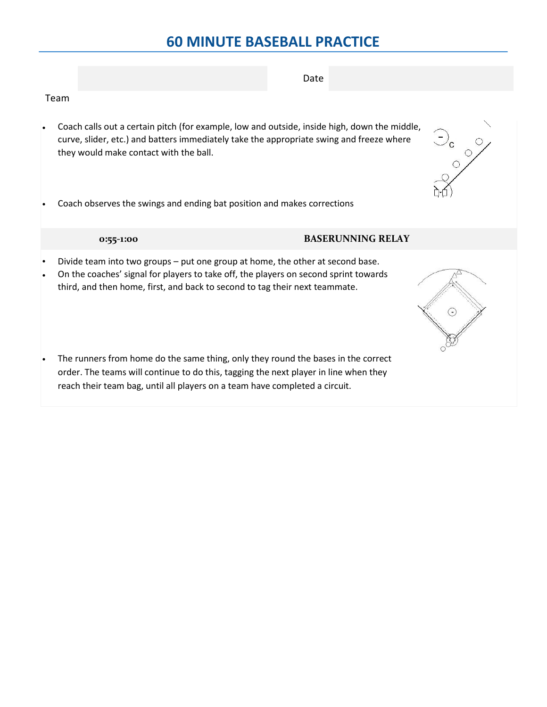Team • Coach calls out a certain pitch (for example, low and outside, inside high, down the middle, curve, slider, etc.) and batters immediately take the appropriate swing and freeze where

• Coach observes the swings and ending bat position and makes corrections

## **0:55-1:00 BASERUNNING RELAY**

they would make contact with the ball.

- Divide team into two groups put one group at home, the other at second base.
- On the coaches' signal for players to take off, the players on second sprint towards third, and then home, first, and back to second to tag their next teammate.
- The runners from home do the same thing, only they round the bases in the correct order. The teams will continue to do this, tagging the next player in line when they reach their team bag, until all players on a team have completed a circuit.







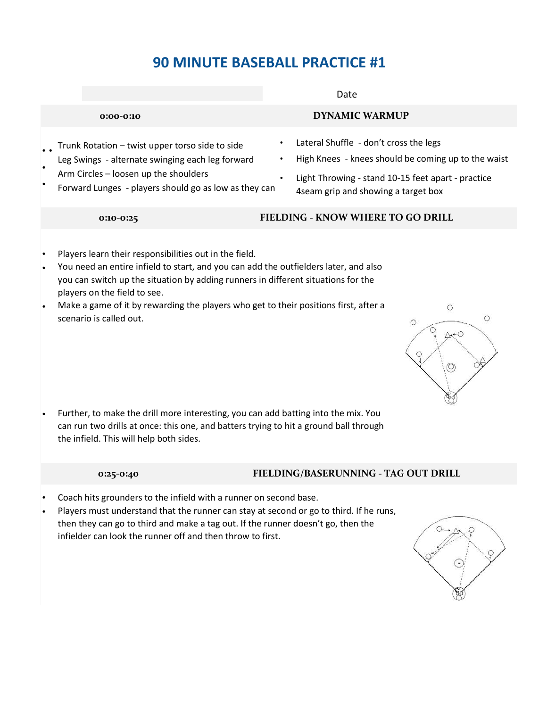Date

### **0:00-0:10 DYNAMIC WARMUP**

- • Trunk Rotation – twist upper torso side to side
- Leg Swings - alternate swinging each leg forward Arm Circles – loosen up the shoulders
- Forward Lunges - players should go as low as they can
- Lateral Shuffle don't cross the legs
- High Knees knees should be coming up to the waist
- Light Throwing stand 10-15 feet apart practice 4seam grip and showing a target box

## **0:10-0:25 FIELDING - KNOW WHERE TO GO DRILL**

- Players learn their responsibilities out in the field.
- You need an entire infield to start, and you can add the outfielders later, and also you can switch up the situation by adding runners in different situations for the players on the field to see.
- Make a game of it by rewarding the players who get to their positions first, after a scenario is called out.



• Further, to make the drill more interesting, you can add batting into the mix. You can run two drills at once: this one, and batters trying to hit a ground ball through the infield. This will help both sides.

## **0:25-0:40 FIELDING/BASERUNNING - TAG OUT DRILL**

- Coach hits grounders to the infield with a runner on second base.
- Players must understand that the runner can stay at second or go to third. If he runs, then they can go to third and make a tag out. If the runner doesn't go, then the infielder can look the runner off and then throw to first.

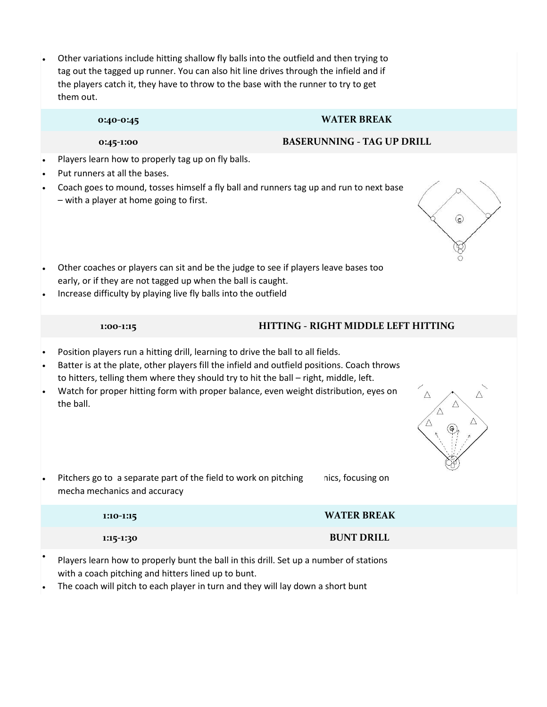• Other variations include hitting shallow fly balls into the outfield and then trying to tag out the tagged up runner. You can also hit line drives through the infield and if the players catch it, they have to throw to the base with the runner to try to get them out.

### **0:40-0:45 WATER BREAK**

### **0:45-1:00 BASERUNNING - TAG UP DRILL**

- Players learn how to properly tag up on fly balls.
- Put runners at all the bases.
- Coach goes to mound, tosses himself a fly ball and runners tag up and run to next base – with a player at home going to first.
- Other coaches or players can sit and be the judge to see if players leave bases too early, or if they are not tagged up when the ball is caught.
- Increase difficulty by playing live fly balls into the outfield

### **1:00-1:15 HITTING - RIGHT MIDDLE LEFT HITTING**

- Position players run a hitting drill, learning to drive the ball to all fields.
- Batter is at the plate, other players fill the infield and outfield positions. Coach throws to hitters, telling them where they should try to hit the ball – right, middle, left.
- Watch for proper hitting form with proper balance, even weight distribution, eyes on the ball.
- $\wedge$
- Pitchers go to a separate part of the field to work on pitching mecha mechanics and accuracy nics, focusing on

| 1:10-1:15 | <b>WATER BREAK</b> |
|-----------|--------------------|
| 1:15-1:30 | <b>BUNT DRILL</b>  |

- Players learn how to properly bunt the ball in this drill. Set up a number of stations with a coach pitching and hitters lined up to bunt.
- The coach will pitch to each player in turn and they will lay down a short bunt

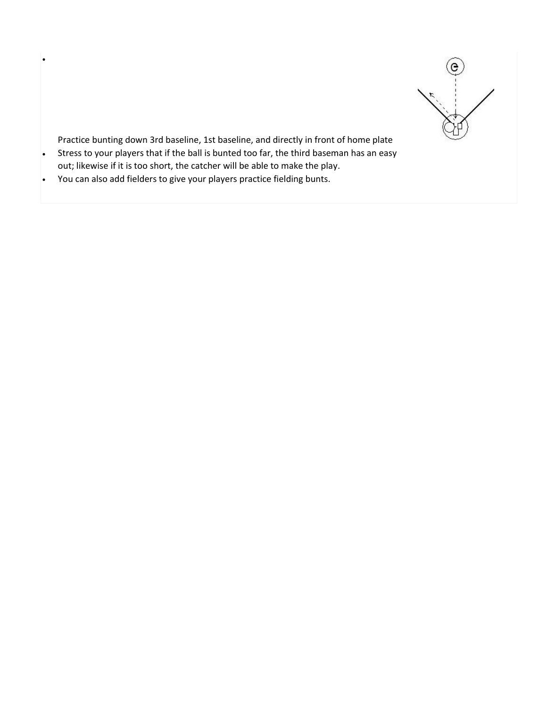

Practice bunting down 3rd baseline, 1st baseline, and directly in front of home plate

- Stress to your players that if the ball is bunted too far, the third baseman has an easy out; likewise if it is too short, the catcher will be able to make the play.
- You can also add fielders to give your players practice fielding bunts.

•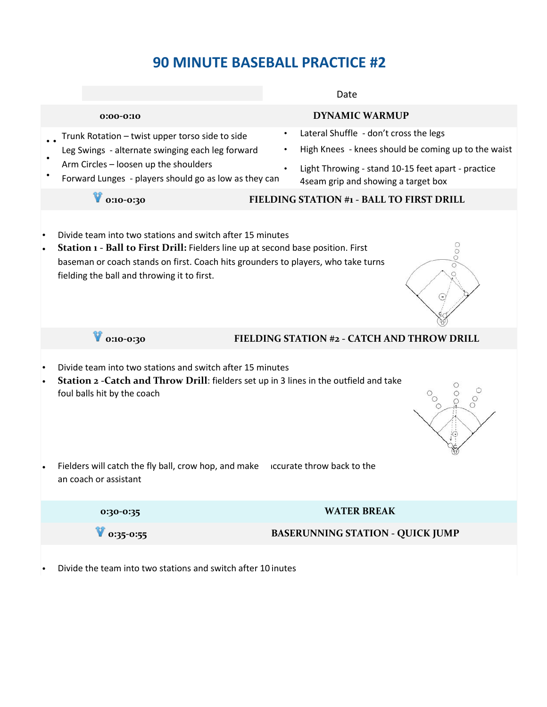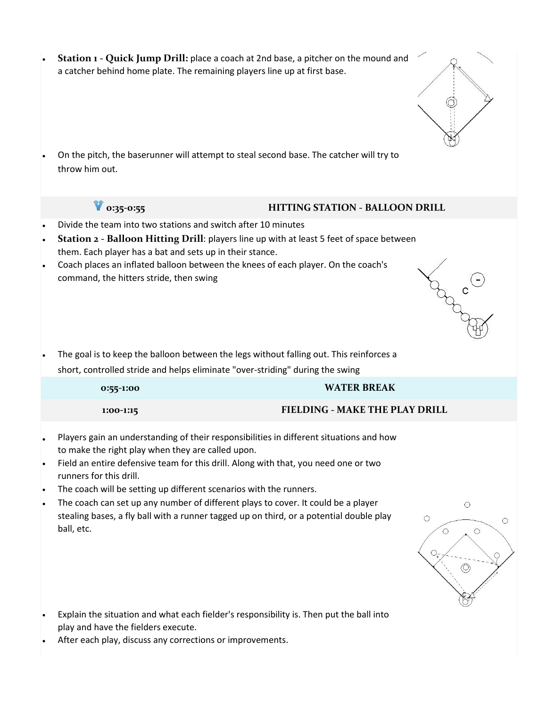| a catcher behind home plate. The remaining players line up at first base.                                                                                                                  | Station 1 - Quick Jump Drill: place a coach at 2nd base, a pitcher on the mound and                                                                                                                                                                                                                                                                                                                                                                                                                                                      |
|--------------------------------------------------------------------------------------------------------------------------------------------------------------------------------------------|------------------------------------------------------------------------------------------------------------------------------------------------------------------------------------------------------------------------------------------------------------------------------------------------------------------------------------------------------------------------------------------------------------------------------------------------------------------------------------------------------------------------------------------|
| throw him out.                                                                                                                                                                             | On the pitch, the baserunner will attempt to steal second base. The catcher will try to                                                                                                                                                                                                                                                                                                                                                                                                                                                  |
| $0:35-0:55$                                                                                                                                                                                | <b>HITTING STATION - BALLOON DRILL</b>                                                                                                                                                                                                                                                                                                                                                                                                                                                                                                   |
| Divide the team into two stations and switch after 10 minutes<br>$\bullet$<br>them. Each player has a bat and sets up in their stance.<br>command, the hitters stride, then swing          | Station 2 - Balloon Hitting Drill: players line up with at least 5 feet of space between<br>Coach places an inflated balloon between the knees of each player. On the coach's<br>$h_{\perp}$                                                                                                                                                                                                                                                                                                                                             |
|                                                                                                                                                                                            |                                                                                                                                                                                                                                                                                                                                                                                                                                                                                                                                          |
|                                                                                                                                                                                            | The goal is to keep the balloon between the legs without falling out. This reinforces a<br>short, controlled stride and helps eliminate "over-striding" during the swing                                                                                                                                                                                                                                                                                                                                                                 |
| 0:55-1:00                                                                                                                                                                                  | <b>WATER BREAK</b>                                                                                                                                                                                                                                                                                                                                                                                                                                                                                                                       |
| 1:00-1:15                                                                                                                                                                                  | FIELDING - MAKE THE PLAY DRILL                                                                                                                                                                                                                                                                                                                                                                                                                                                                                                           |
| to make the right play when they are called upon.<br>runners for this drill.<br>The coach will be setting up different scenarios with the runners.<br>$\bullet$<br>$\bullet$<br>ball, etc. | Players gain an understanding of their responsibilities in different situations and how<br>Field an entire defensive team for this drill. Along with that, you need one or two<br>The coach can set up any number of different plays to cover. It could be a player<br>$\circ$<br>stealing bases, a fly ball with a runner tagged up on third, or a potential double play<br>$\circ$<br>$\circ$<br>$\circ$<br>$\circ$<br>О-<br>$\circledcirc$<br>Explain the situation and what each fielder's responsibility is. Then put the ball into |

• After each play, discuss any corrections or improvements.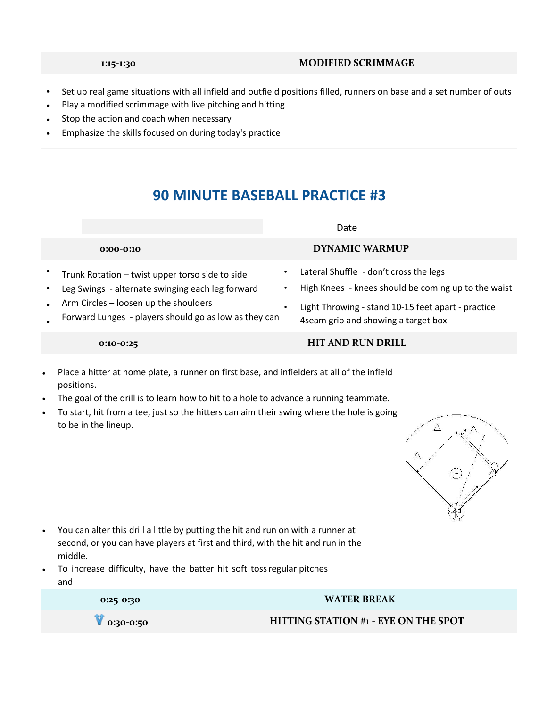### **1:15-1:30 MODIFIED SCRIMMAGE**

- Set up real game situations with all infield and outfield positions filled, runners on base and a set number of outs
- Play a modified scrimmage with live pitching and hitting
- Stop the action and coach when necessary
- Emphasize the skills focused on during today's practice

# **90 MINUTE BASEBALL PRACTICE #3**

## Date

- Trunk Rotation – twist upper torso side to side
- Leg Swings - alternate swinging each leg forward
- Arm Circles – loosen up the shoulders
- Forward Lunges - players should go as low as they can

# **0:00-0:10 DYNAMIC WARMUP**

- Lateral Shuffle don't cross the legs
- High Knees knees should be coming up to the waist
- Light Throwing stand 10-15 feet apart practice 4seam grip and showing a target box

### **0:10-0:25 HIT AND RUN DRILL**

- Place a hitter at home plate, a runner on first base, and infielders at all of the infield positions.
- The goal of the drill is to learn how to hit to a hole to advance a running teammate.
- To start, hit from a tee, just so the hitters can aim their swing where the hole is going to be in the lineup.



- You can alter this drill a little by putting the hit and run on with a runner at second, or you can have players at first and third, with the hit and run in the middle.
- To increase difficulty, have the batter hit soft toss regular pitches and

| 0:25-0:30                | <b>WATER BREAK</b>                          |
|--------------------------|---------------------------------------------|
| $\blacksquare$ 0:30-0:50 | <b>HITTING STATION #1 - EYE ON THE SPOT</b> |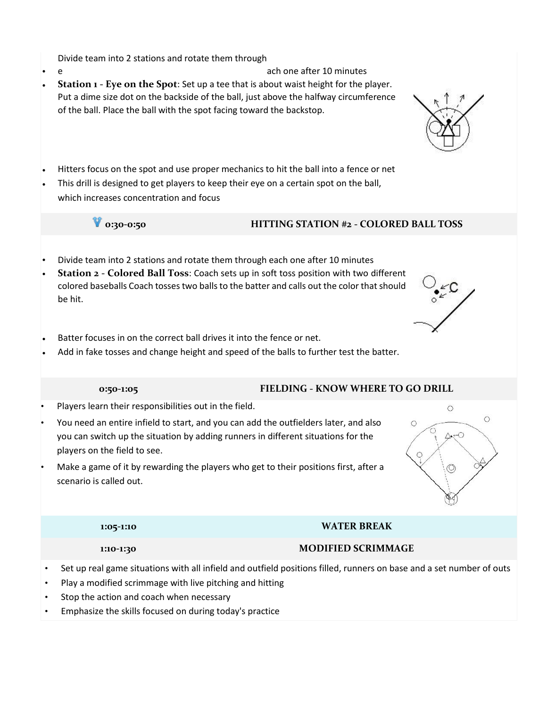Divide team into 2 stations and rotate them through

- e ach one after 10 minutes • **Station 1 - Eye on the Spot**: Set up a tee that is about waist height for the player. Put a dime size dot on the backside of the ball, just above the halfway circumference of the ball. Place the ball with the spot facing toward the backstop.
- Hitters focus on the spot and use proper mechanics to hit the ball into a fence or net
- This drill is designed to get players to keep their eye on a certain spot on the ball, which increases concentration and focus

## **0:30-0:50 HITTING STATION #2 - COLORED BALL TOSS**

- Divide team into 2 stations and rotate them through each one after 10 minutes
- **Station 2 - Colored Ball Toss**: Coach sets up in soft toss position with two different colored baseballs Coach tosses two balls to the batter and calls out the color that should be hit.
- Batter focuses in on the correct ball drives it into the fence or net.
- Add in fake tosses and change height and speed of the balls to further test the batter.

### **0:50-1:05 FIELDING - KNOW WHERE TO GO DRILL**

- Players learn their responsibilities out in the field.
- You need an entire infield to start, and you can add the outfielders later, and also you can switch up the situation by adding runners in different situations for the players on the field to see.
- Make a game of it by rewarding the players who get to their positions first, after a scenario is called out.

## **1:05-1:10 WATER BREAK**

## **1:10-1:30 MODIFIED SCRIMMAGE**

- Set up real game situations with all infield and outfield positions filled, runners on base and a set number of outs
- Play a modified scrimmage with live pitching and hitting
- Stop the action and coach when necessary
- Emphasize the skills focused on during today's practice





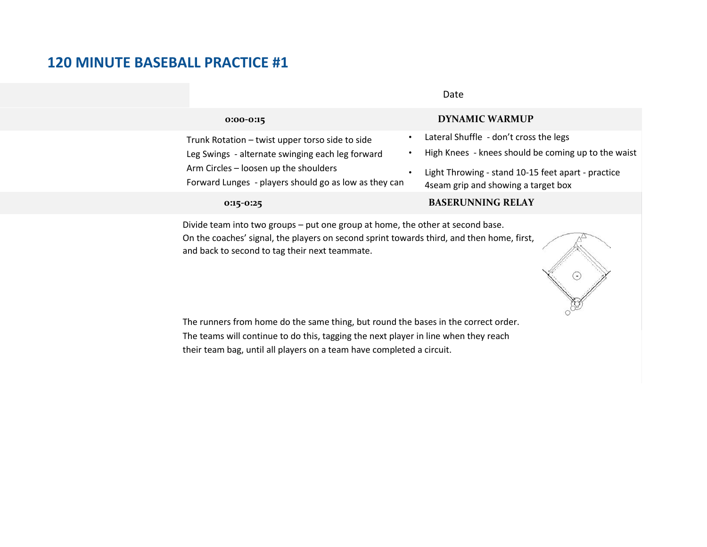|                                                                                                | Date                                                                                       |
|------------------------------------------------------------------------------------------------|--------------------------------------------------------------------------------------------|
| $0:00-0:15$                                                                                    | <b>DYNAMIC WARMUP</b>                                                                      |
| Trunk Rotation - twist upper torso side to side                                                | Lateral Shuffle - don't cross the legs                                                     |
| Leg Swings - alternate swinging each leg forward                                               | High Knees - knees should be coming up to the waist                                        |
| Arm Circles - loosen up the shoulders<br>Forward Lunges - players should go as low as they can | Light Throwing - stand 10-15 feet apart - practice<br>4 seam grip and showing a target box |
| $0:15-0:25$                                                                                    | <b>BASERUNNING RELAY</b>                                                                   |

Date

Divide team into two groups – put one group at home, the other at second base. On the coaches' signal, the players on second sprint towards third, and then home, first, and back to second to tag their next teammate.



The runners from home do the same thing, but round the bases in the correct order. The teams will continue to do this, tagging the next player in line when they reach their team bag, until all players on a team have completed a circuit.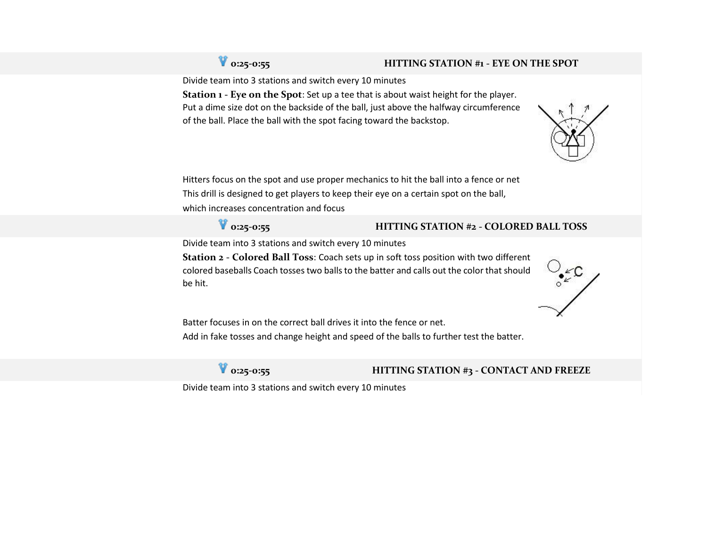## **0:25-0:55 HITTING STATION #1 - EYE ON THE SPOT**

Divide team into 3 stations and switch every 10 minutes

**Station 1 - Eye on the Spot**: Set up a tee that is about waist height for the player. Put a dime size dot on the backside of the ball, just above the halfway circumference of the ball. Place the ball with the spot facing toward the backstop.



Hitters focus on the spot and use proper mechanics to hit the ball into a fence or net This drill is designed to get players to keep their eye on a certain spot on the ball, which increases concentration and focus

## **0:25-0:55 HITTING STATION #2 - COLORED BALL TOSS**

Divide team into 3 stations and switch every 10 minutes

**Station 2 - Colored Ball Toss**: Coach sets up in soft toss position with two different colored baseballs Coach tosses two balls to the batter and calls out the color that should be hit.



Batter focuses in on the correct ball drives it into the fence or net. Add in fake tosses and change height and speed of the balls to further test the batter.

## **0:25-0:55 HITTING STATION #3 - CONTACT AND FREEZE**

Divide team into 3 stations and switch every 10 minutes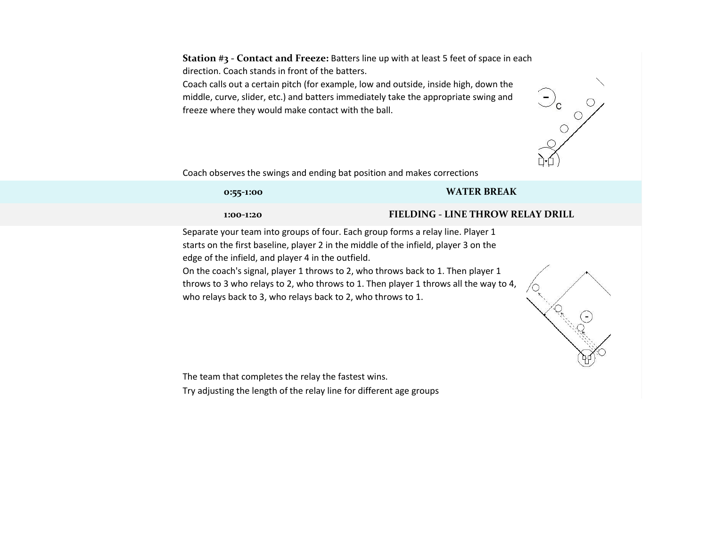**Station #3 - Contact and Freeze:** Batters line up with at least 5 feet of space in each direction. Coach stands in front of the batters.

Coach calls out a certain pitch (for example, low and outside, inside high, down the middle, curve, slider, etc.) and batters immediately take the appropriate swing and freeze where they would make contact with the ball.



**CALCONS** 

Coach observes the swings and ending bat position and makes corrections

### **0:55-1:00 WATER BREAK**

### **1:00-1:20 FIELDING - LINE THROW RELAY DRILL**

Separate your team into groups of four. Each group forms a relay line. Player 1 starts on the first baseline, player 2 in the middle of the infield, player 3 on the edge of the infield, and player 4 in the outfield.

On the coach's signal, player 1 throws to 2, who throws back to 1. Then player 1 throws to 3 who relays to 2, who throws to 1. Then player 1 throws all the way to 4, who relays back to 3, who relays back to 2, who throws to 1.

The team that completes the relay the fastest wins.

Try adjusting the length of the relay line for different age groups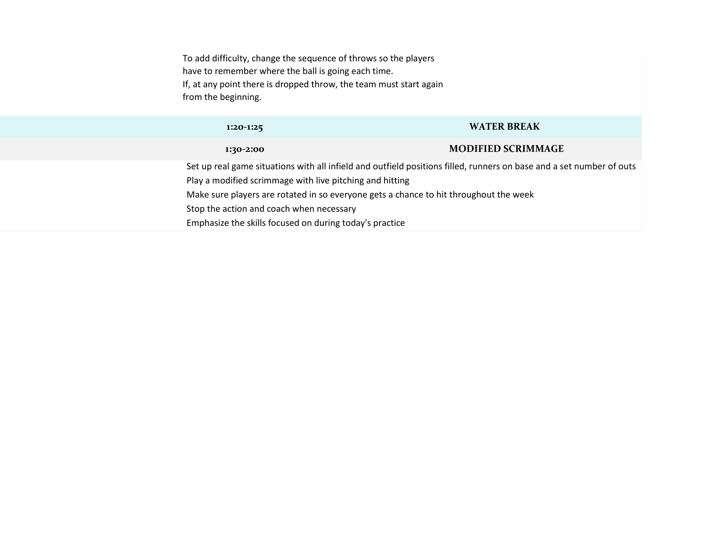To add difficulty, change the sequence of throws so the players have to remember where the ball is going each time. If, at any point there is dropped throw, the team must start again from the beginning.

### **1:20-1:25 WATER BREAK**

### **1:30-2:00 MODIFIED SCRIMMAGE**

Set up real game situations with all infield and outfield positions filled, runners on base and a set number of outs Play a modified scrimmage with live pitching and hitting Make sure players are rotated in so everyone gets a chance to hit throughout the week Stop the action and coach when necessary Emphasize the skills focused on during today's practice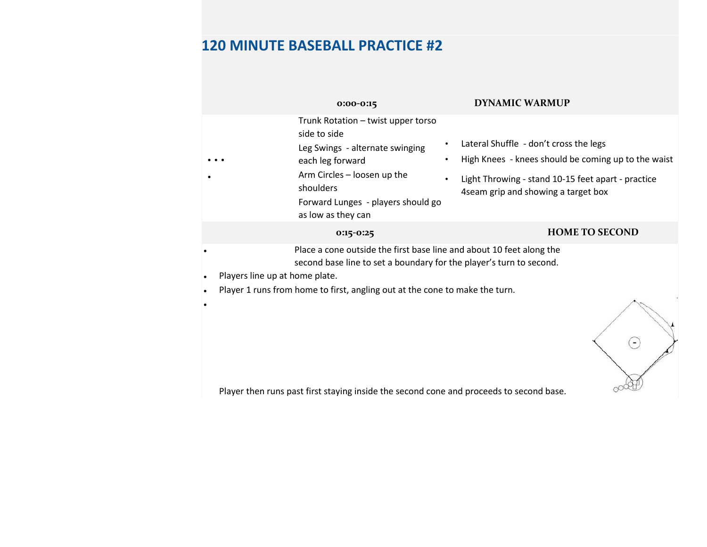|                                             | $0:00-0:15$                                                                                                                                                                                                                | <b>DYNAMIC WARMUP</b>                                                                                                                                                                                    |
|---------------------------------------------|----------------------------------------------------------------------------------------------------------------------------------------------------------------------------------------------------------------------------|----------------------------------------------------------------------------------------------------------------------------------------------------------------------------------------------------------|
|                                             | Trunk Rotation - twist upper torso<br>side to side<br>Leg Swings - alternate swinging<br>each leg forward<br>Arm Circles - loosen up the<br>shoulders<br>Forward Lunges - players should go<br>as low as they can          | Lateral Shuffle - don't cross the legs<br>High Knees - knees should be coming up to the waist<br>Light Throwing - stand 10-15 feet apart - practice<br>$\bullet$<br>4 seam grip and showing a target box |
|                                             | 0:15-0:25                                                                                                                                                                                                                  | <b>HOME TO SECOND</b>                                                                                                                                                                                    |
| Players line up at home plate.<br>$\bullet$ | Place a cone outside the first base line and about 10 feet along the<br>second base line to set a boundary for the player's turn to second.<br>Player 1 runs from home to first, angling out at the cone to make the turn. |                                                                                                                                                                                                          |
|                                             | والمورومون وخاواه وموجوس امورم ومرموا وموجوم وعاخ وادعوا ومشروبه خمس المستل خوريون وسروا واختروني                                                                                                                          |                                                                                                                                                                                                          |

Player then runs past first staying inside the second cone and proceeds to second base.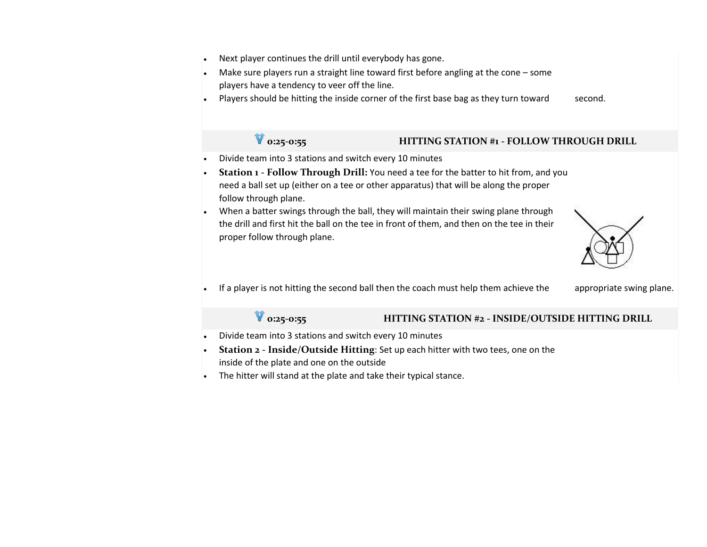- Next player continues the drill until everybody has gone.
- Make sure players run a straight line toward first before angling at the cone some players have a tendency to veer off the line.
- Players should be hitting the inside corner of the first base bag as they turn toward second.

## **0:25-0:55 HITTING STATION #1 - FOLLOW THROUGH DRILL**

- Divide team into 3 stations and switch every 10 minutes
- **Station 1 - Follow Through Drill:** You need a tee for the batter to hit from, and you need a ball set up (either on a tee or other apparatus) that will be along the proper follow through plane.
- When a batter swings through the ball, they will maintain their swing plane through the drill and first hit the ball on the tee in front of them, and then on the tee in their proper follow through plane.



If a player is not hitting the second ball then the coach must help them achieve the appropriate swing plane.

## **0:25-0:55 HITTING STATION #2 - INSIDE/OUTSIDE HITTING DRILL**

- Divide team into 3 stations and switch every 10 minutes
- **Station 2 - Inside/Outside Hitting**: Set up each hitter with two tees, one on the inside of the plate and one on the outside
- The hitter will stand at the plate and take their typical stance.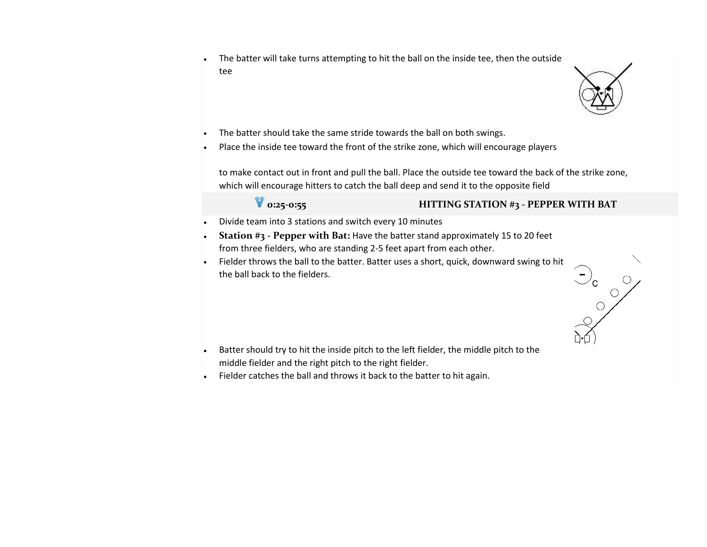• The batter will take turns attempting to hit the ball on the inside tee, then the outside tee



 $\frac{1}{2}$ 

- The batter should take the same stride towards the ball on both swings.
- Place the inside tee toward the front of the strike zone, which will encourage players

to make contact out in front and pull the ball. Place the outside tee toward the back of the strike zone, which will encourage hitters to catch the ball deep and send it to the opposite field

## **0:25-0:55 HITTING STATION #3 - PEPPER WITH BAT**

- Divide team into 3 stations and switch every 10 minutes
- **Station #3 - Pepper with Bat:** Have the batter stand approximately 15 to 20 feet from three fielders, who are standing 2-5 feet apart from each other.
- Fielder throws the ball to the batter. Batter uses a short, quick, downward swing to hit the ball back to the fielders.

- Batter should try to hit the inside pitch to the left fielder, the middle pitch to the middle fielder and the right pitch to the right fielder.
- Fielder catches the ball and throws it back to the batter to hit again.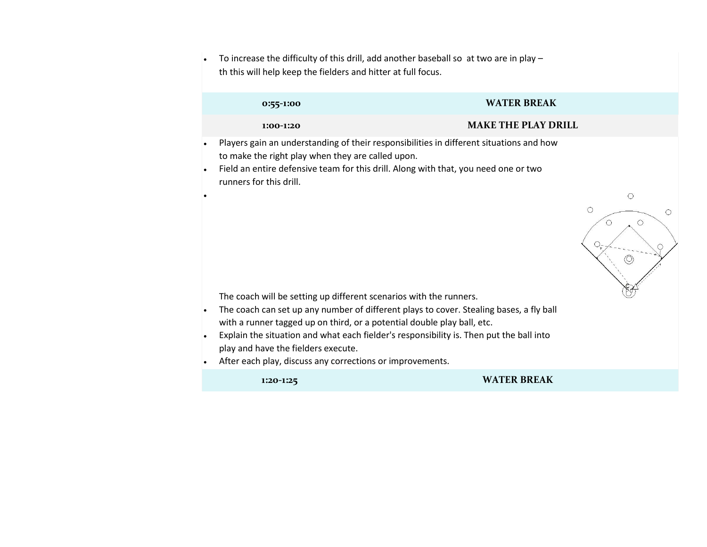• To increase the difficulty of this drill, add another baseball so at two are in play – th this will help keep the fielders and hitter at full focus.

|                             | 0:55-1:00                                                                                        | <b>WATER BREAK</b>                                                                                                                                                                                       |
|-----------------------------|--------------------------------------------------------------------------------------------------|----------------------------------------------------------------------------------------------------------------------------------------------------------------------------------------------------------|
|                             | 1:00-1:20                                                                                        | <b>MAKE THE PLAY DRILL</b>                                                                                                                                                                               |
| $\bullet$<br>$\bullet$<br>٠ | to make the right play when they are called upon.<br>runners for this drill.                     | Players gain an understanding of their responsibilities in different situations and how<br>Field an entire defensive team for this drill. Along with that, you need one or two<br>O<br>$\circ$<br>O<br>O |
| $\bullet$                   | The coach will be setting up different scenarios with the runners.                               | The coach can set up any number of different plays to cover. Stealing bases, a fly ball                                                                                                                  |
|                             | with a runner tagged up on third, or a potential double play ball, etc.                          |                                                                                                                                                                                                          |
| $\bullet$<br>$\bullet$      | play and have the fielders execute.<br>After each play, discuss any corrections or improvements. | Explain the situation and what each fielder's responsibility is. Then put the ball into                                                                                                                  |
|                             | 1:20-1:25                                                                                        | <b>WATER BREAK</b>                                                                                                                                                                                       |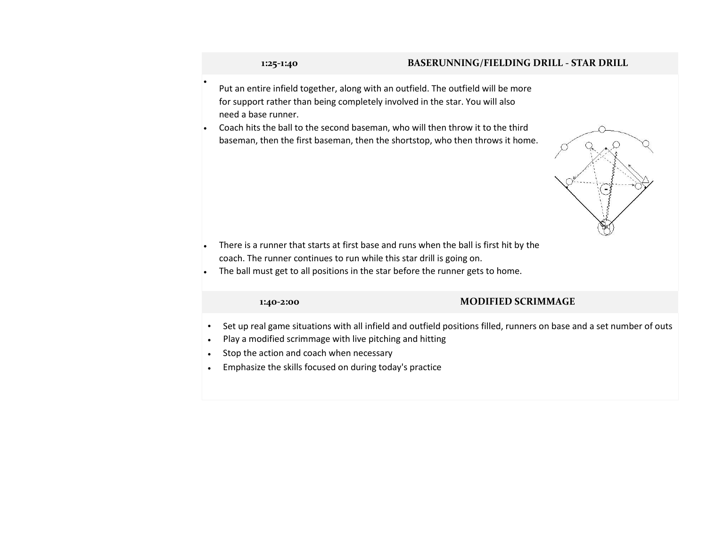•

### **1:25-1:40 BASERUNNING/FIELDING DRILL - STAR DRILL**

- Put an entire infield together, along with an outfield. The outfield will be more for support rather than being completely involved in the star. You will also need a base runner.
- Coach hits the ball to the second baseman, who will then throw it to the third baseman, then the first baseman, then the shortstop, who then throws it home.



- There is a runner that starts at first base and runs when the ball is first hit by the coach. The runner continues to run while this star drill is going on.
- The ball must get to all positions in the star before the runner gets to home.

### **1:40-2:00 MODIFIED SCRIMMAGE**

- Set up real game situations with all infield and outfield positions filled, runners on base and a set number of outs
- Play a modified scrimmage with live pitching and hitting
- Stop the action and coach when necessary
- Emphasize the skills focused on during today's practice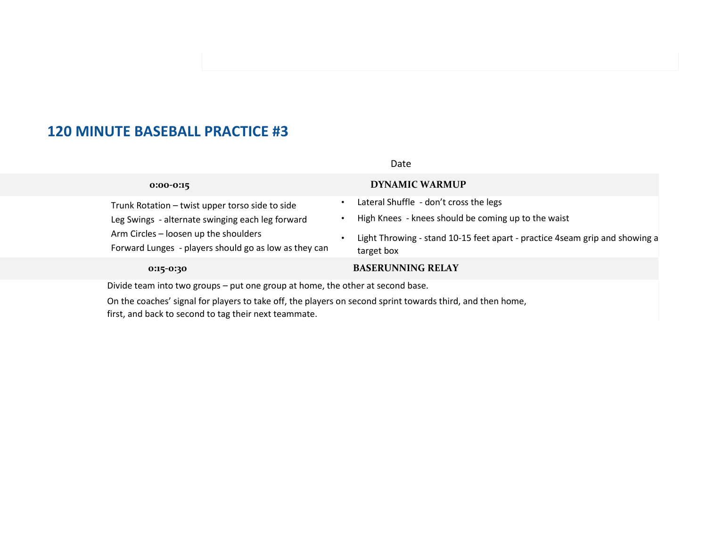|                                                                                                | Date                                                                                      |
|------------------------------------------------------------------------------------------------|-------------------------------------------------------------------------------------------|
| $0:00-0:15$                                                                                    | <b>DYNAMIC WARMUP</b>                                                                     |
| Trunk Rotation - twist upper torso side to side                                                | Lateral Shuffle - don't cross the legs                                                    |
| Leg Swings - alternate swinging each leg forward                                               | High Knees - knees should be coming up to the waist                                       |
| Arm Circles - loosen up the shoulders<br>Forward Lunges - players should go as low as they can | Light Throwing - stand 10-15 feet apart - practice 4seam grip and showing a<br>target box |
| $0:15-0:30$                                                                                    | <b>BASERUNNING RELAY</b>                                                                  |
|                                                                                                |                                                                                           |

• Divide team into two groups – put one group at home, the other at second base.

• On the coaches' signal for players to take off, the players on second sprint towards third, and then home, first, and back to second to tag their next teammate.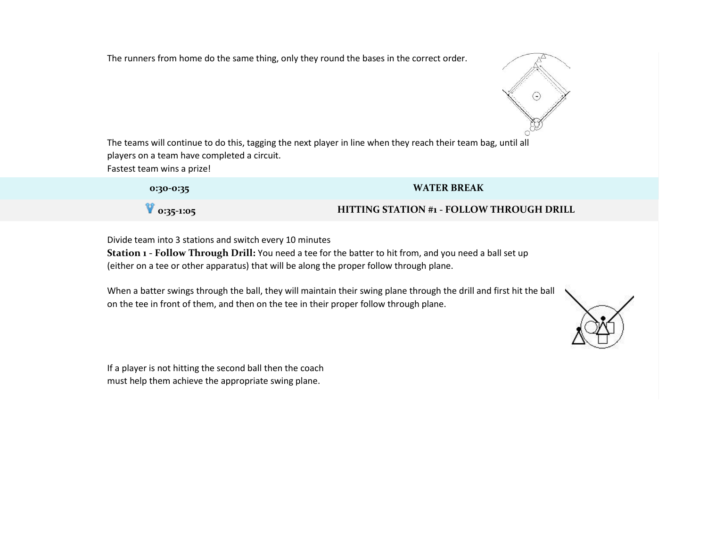The runners from home do the same thing, only they round the bases in the correct order.



• The teams will continue to do this, tagging the next player in line when they reach their team bag, until all players on a team have completed a circuit.

Fastest team wins a prize!

| 0:30-0:35          | <b>WATER BREAK</b>                               |
|--------------------|--------------------------------------------------|
| $\sqrt{0.35-1.05}$ | <b>HITTING STATION #1 - FOLLOW THROUGH DRILL</b> |

• Divide team into 3 stations and switch every 10 minutes

• **Station 1 - Follow Through Drill:** You need a tee for the batter to hit from, and you need a ball set up (either on a tee or other apparatus) that will be along the proper follow through plane.

• When a batter swings through the ball, they will maintain their swing plane through the drill and first hit the ball on the tee in front of them, and then on the tee in their proper follow through plane.

If a player is not hitting the second ball then the coach must help them achieve the appropriate swing plane.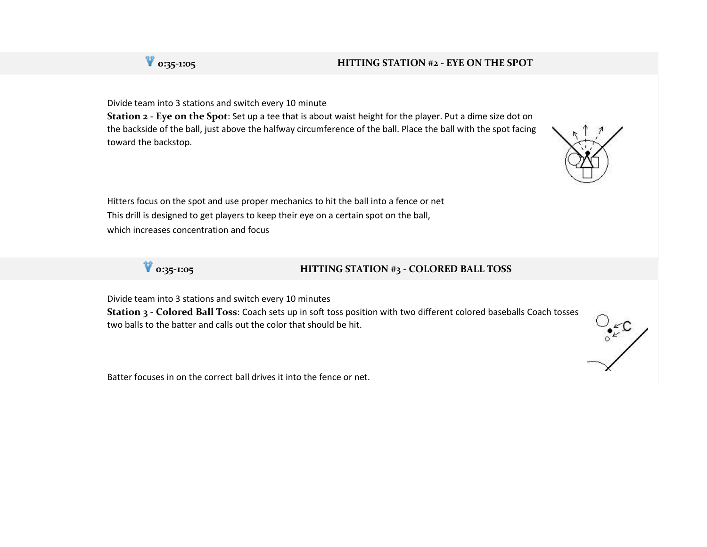## **0:35-1:05 HITTING STATION #2 - EYE ON THE SPOT**

• Divide team into 3 stations and switch every 10 minute

• **Station 2 - Eye on the Spot**: Set up a tee that is about waist height for the player. Put a dime size dot on the backside of the ball, just above the halfway circumference of the ball. Place the ball with the spot facing toward the backstop.





• Divide team into 3 stations and switch every 10 minutes

• **Station 3 - Colored Ball Toss**: Coach sets up in soft toss position with two different colored baseballs Coach tosses two balls to the batter and calls out the color that should be hit.

Batter focuses in on the correct ball drives it into the fence or net.





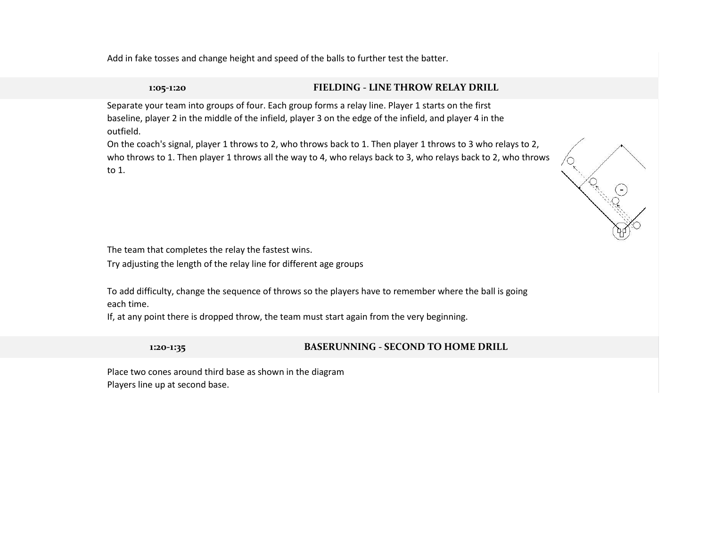• Add in fake tosses and change height and speed of the balls to further test the batter.

## **1:05-1:20 FIELDING - LINE THROW RELAY DRILL**

• Separate your team into groups of four. Each group forms a relay line. Player 1 starts on the first baseline, player 2 in the middle of the infield, player 3 on the edge of the infield, and player 4 in the outfield.

• On the coach's signal, player 1 throws to 2, who throws back to 1. Then player 1 throws to 3 who relays to 2, who throws to 1. Then player 1 throws all the way to 4, who relays back to 3, who relays back to 2, who throws to 1.



The team that completes the relay the fastest wins.

• Try adjusting the length of the relay line for different age groups

To add difficulty, change the sequence of throws so the players have to remember where the ball is going each time.

If, at any point there is dropped throw, the team must start again from the very beginning.

**1:20-1:35 BASERUNNING - SECOND TO HOME DRILL** 

• Place two cones around third base as shown in the diagram Players line up at second base.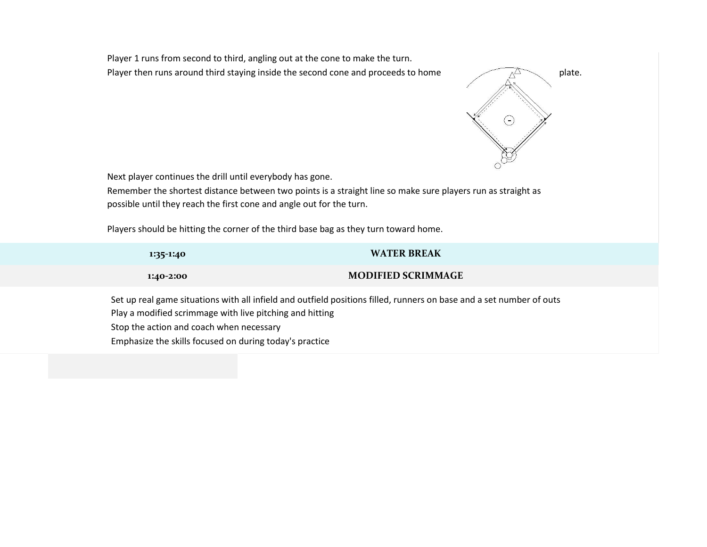Player 1 runs from second to third, angling out at the cone to make the turn. Player then runs around third staying inside the second cone and proceeds to home plate.



• Next player continues the drill until everybody has gone.

• Remember the shortest distance between two points is a straight line so make sure players run as straight as possible until they reach the first cone and angle out for the turn.

Players should be hitting the corner of the third base bag as they turn toward home.

| 1:35-1:40 | <b>WATER BREAK</b>        |
|-----------|---------------------------|
| 1:40-2:00 | <b>MODIFIED SCRIMMAGE</b> |

Set up real game situations with all infield and outfield positions filled, runners on base and a set number of outs Play a modified scrimmage with live pitching and hitting Stop the action and coach when necessary • Emphasize the skills focused on during today's practice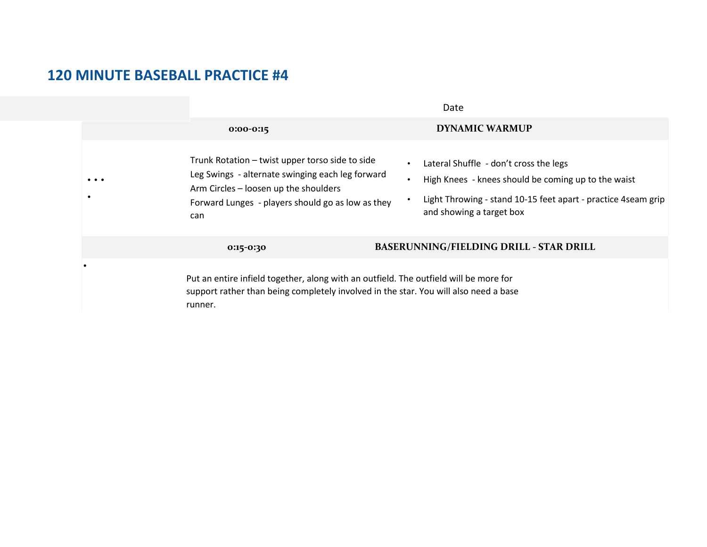|          | Date                                                                                                                                                                                                     |                                                                                                                                                                                                                       |  |
|----------|----------------------------------------------------------------------------------------------------------------------------------------------------------------------------------------------------------|-----------------------------------------------------------------------------------------------------------------------------------------------------------------------------------------------------------------------|--|
|          | $0:00-0:15$                                                                                                                                                                                              | <b>DYNAMIC WARMUP</b>                                                                                                                                                                                                 |  |
| $\cdots$ | Trunk Rotation - twist upper torso side to side<br>Leg Swings - alternate swinging each leg forward<br>Arm Circles - loosen up the shoulders<br>Forward Lunges - players should go as low as they<br>can | Lateral Shuffle - don't cross the legs<br>$\bullet$<br>High Knees - knees should be coming up to the waist<br>$\bullet$<br>Light Throwing - stand 10-15 feet apart - practice 4 seam grip<br>and showing a target box |  |
|          | 0:15-0:30                                                                                                                                                                                                | <b>BASERUNNING/FIELDING DRILL - STAR DRILL</b>                                                                                                                                                                        |  |
|          | Put an entire infield together, along with an outfield. The outfield will be more for<br>support rather than being completely involved in the star. You will also need a base<br>runner.                 |                                                                                                                                                                                                                       |  |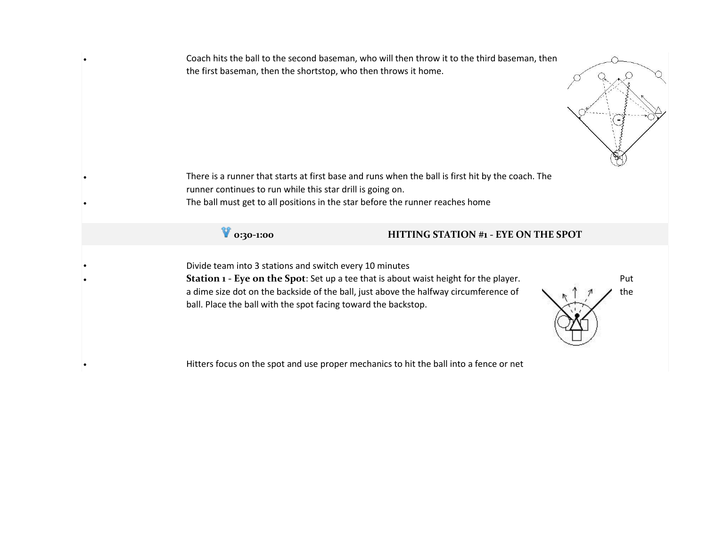• Coach hits the ball to the second baseman, who will then throw it to the third baseman, then the first baseman, then the shortstop, who then throws it home.



There is a runner that starts at first base and runs when the ball is first hit by the coach. The runner continues to run while this star drill is going on. The ball must get to all positions in the star before the runner reaches home



## **0:30-1:00 HITTING STATION #1 - EYE ON THE SPOT**

• Divide team into 3 stations and switch every 10 minutes

**Station 1 - Eye on the Spot**: Set up a tee that is about waist height for the player. Put a dime size dot on the backside of the ball, just above the halfway circumference of  $\Box$ ,  $\uparrow$   $\Box$  the ball. Place the ball with the spot facing toward the backstop.



• Hitters focus on the spot and use proper mechanics to hit the ball into a fence or net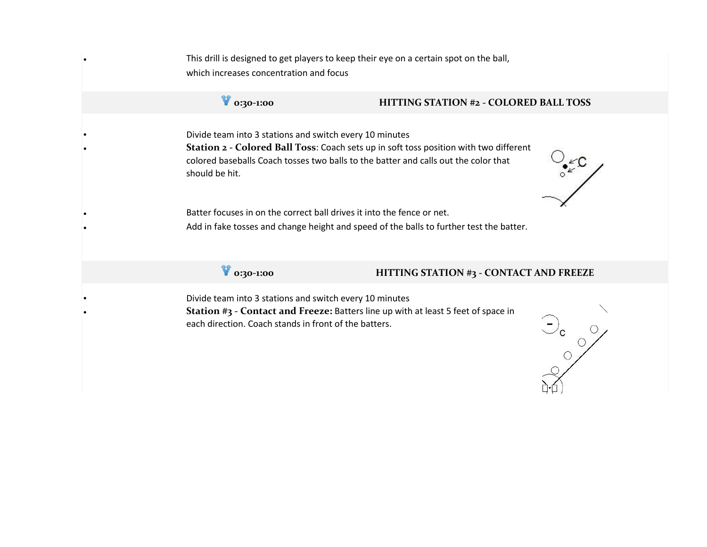This drill is designed to get players to keep their eye on a certain spot on the ball, which increases concentration and focus

## **0:30-1:00 HITTING STATION #2 - COLORED BALL TOSS**

• Divide team into 3 stations and switch every 10 minutes • **Station 2 - Colored Ball Toss**: Coach sets up in soft toss position with two different colored baseballs Coach tosses two balls to the batter and calls out the color that should be hit.



Batter focuses in on the correct ball drives it into the fence or net. Add in fake tosses and change height and speed of the balls to further test the batter.

## **0:30-1:00 HITTING STATION #3 - CONTACT AND FREEZE**

• Divide team into 3 stations and switch every 10 minutes • **Station #3 - Contact and Freeze:** Batters line up with at least 5 feet of space in each direction. Coach stands in front of the batters.

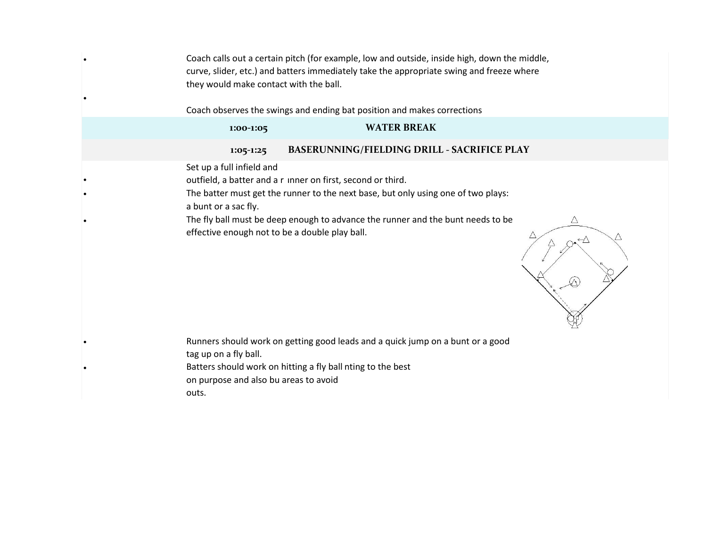• Coach calls out a certain pitch (for example, low and outside, inside high, down the middle, curve, slider, etc.) and batters immediately take the appropriate swing and freeze where they would make contact with the ball.

Coach observes the swings and ending bat position and makes corrections

•

| 1:00-1:05                                         | <b>WATER BREAK</b>                                                                                                                                                                                                                  |   |
|---------------------------------------------------|-------------------------------------------------------------------------------------------------------------------------------------------------------------------------------------------------------------------------------------|---|
| $1:05-1:25$                                       | BASERUNNING/FIELDING DRILL - SACRIFICE PLAY                                                                                                                                                                                         |   |
| Set up a full infield and<br>a bunt or a sac fly. | outfield, a batter and a r inner on first, second or third.<br>The batter must get the runner to the next base, but only using one of two plays:<br>The fly ball must be deep enough to advance the runner and the bunt needs to be | Δ |
| effective enough not to be a double play ball.    |                                                                                                                                                                                                                                     |   |
| tag up on a fly ball.                             | Runners should work on getting good leads and a quick jump on a bunt or a good<br>Batters should work on hitting a fly ball nting to the best                                                                                       |   |
| on purpose and also bu areas to avoid<br>outs.    |                                                                                                                                                                                                                                     |   |